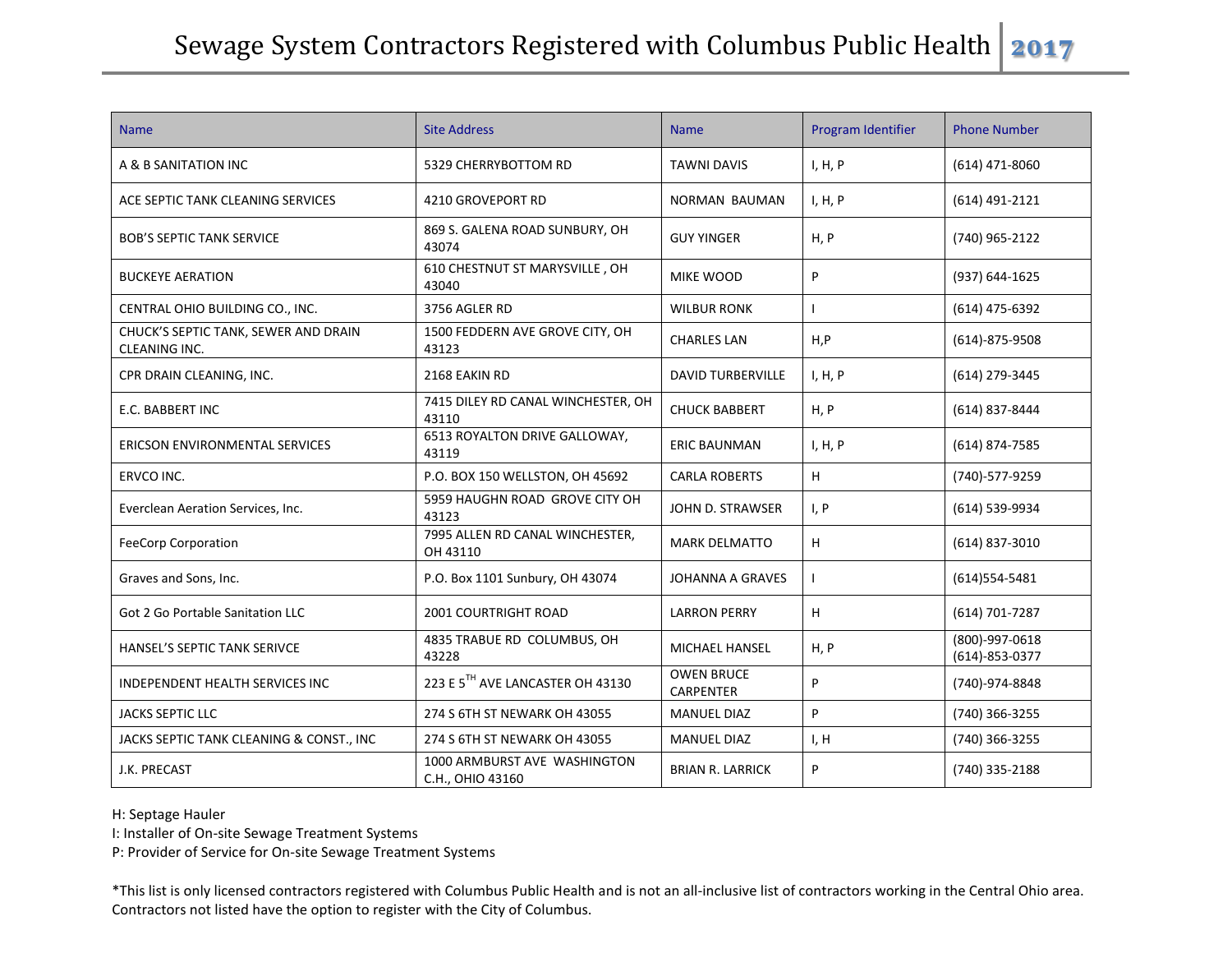| <b>Name</b>                                           | <b>Site Address</b>                              | <b>Name</b>                           | Program Identifier | <b>Phone Number</b>                    |
|-------------------------------------------------------|--------------------------------------------------|---------------------------------------|--------------------|----------------------------------------|
| A & B SANITATION INC                                  | 5329 CHERRYBOTTOM RD                             | <b>TAWNI DAVIS</b>                    | I, H, P            | $(614)$ 471-8060                       |
| ACE SEPTIC TANK CLEANING SERVICES                     | 4210 GROVEPORT RD                                | <b>NORMAN BAUMAN</b>                  | I, H, P            | (614) 491-2121                         |
| <b>BOB'S SEPTIC TANK SERVICE</b>                      | 869 S. GALENA ROAD SUNBURY, OH<br>43074          | <b>GUY YINGER</b>                     | H, P               | (740) 965-2122                         |
| <b>BUCKEYE AERATION</b>                               | 610 CHESTNUT ST MARYSVILLE, OH<br>43040          | MIKE WOOD                             | $\mathsf{P}$       | (937) 644-1625                         |
| CENTRAL OHIO BUILDING CO., INC.                       | 3756 AGLER RD                                    | <b>WILBUR RONK</b>                    |                    | (614) 475-6392                         |
| CHUCK'S SEPTIC TANK, SEWER AND DRAIN<br>CLEANING INC. | 1500 FEDDERN AVE GROVE CITY, OH<br>43123         | <b>CHARLES LAN</b>                    | H, P               | $(614) - 875 - 9508$                   |
| CPR DRAIN CLEANING, INC.                              | 2168 EAKIN RD                                    | <b>DAVID TURBERVILLE</b>              | I, H, P            | (614) 279-3445                         |
| E.C. BABBERT INC                                      | 7415 DILEY RD CANAL WINCHESTER, OH<br>43110      | <b>CHUCK BABBERT</b>                  | H, P               | (614) 837-8444                         |
| ERICSON ENVIRONMENTAL SERVICES                        | 6513 ROYALTON DRIVE GALLOWAY,<br>43119           | <b>ERIC BAUNMAN</b>                   | I, H, P            | $(614)$ 874-7585                       |
| ERVCO INC.                                            | P.O. BOX 150 WELLSTON, OH 45692                  | <b>CARLA ROBERTS</b>                  | H                  | (740)-577-9259                         |
| Everclean Aeration Services, Inc.                     | 5959 HAUGHN ROAD GROVE CITY OH<br>43123          | JOHN D. STRAWSER                      | I, P               | (614) 539-9934                         |
| <b>FeeCorp Corporation</b>                            | 7995 ALLEN RD CANAL WINCHESTER,<br>OH 43110      | <b>MARK DELMATTO</b>                  | H                  | $(614)$ 837-3010                       |
| Graves and Sons, Inc.                                 | P.O. Box 1101 Sunbury, OH 43074                  | JOHANNA A GRAVES                      |                    | (614) 554-5481                         |
| Got 2 Go Portable Sanitation LLC                      | <b>2001 COURTRIGHT ROAD</b>                      | <b>LARRON PERRY</b>                   | H                  | (614) 701-7287                         |
| HANSEL'S SEPTIC TANK SERIVCE                          | 4835 TRABUE RD COLUMBUS, OH<br>43228             | <b>MICHAEL HANSEL</b>                 | H, P               | (800)-997-0618<br>$(614) - 853 - 0377$ |
| INDEPENDENT HEALTH SERVICES INC                       | 223 E 5TH AVE LANCASTER OH 43130                 | <b>OWEN BRUCE</b><br><b>CARPENTER</b> | P                  | (740)-974-8848                         |
| <b>JACKS SEPTIC LLC</b>                               | 274 S 6TH ST NEWARK OH 43055                     | <b>MANUEL DIAZ</b>                    | P                  | (740) 366-3255                         |
| JACKS SEPTIC TANK CLEANING & CONST., INC              | 274 S 6TH ST NEWARK OH 43055                     | <b>MANUEL DIAZ</b>                    | I, H               | (740) 366-3255                         |
| J.K. PRECAST                                          | 1000 ARMBURST AVE WASHINGTON<br>C.H., OHIO 43160 | <b>BRIAN R. LARRICK</b>               | P                  | (740) 335-2188                         |

H: Septage Hauler

I: Installer of On-site Sewage Treatment Systems

P: Provider of Service for On-site Sewage Treatment Systems

\*This list is only licensed contractors registered with Columbus Public Health and is not an all-inclusive list of contractors working in the Central Ohio area. Contractors not listed have the option to register with the City of Columbus.